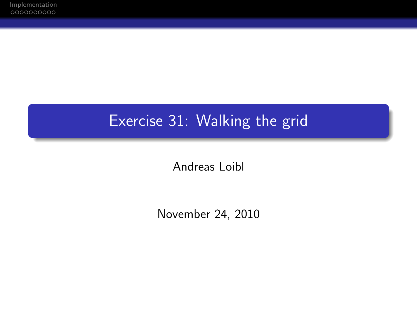## Exercise 31: Walking the grid

Andreas Loibl

November 24, 2010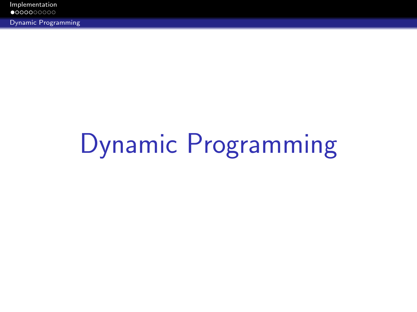[Implementation](#page-1-0)<br> $\bullet$ 000000000

Dynamic Programming

# <span id="page-1-0"></span>[Dynamic Programming](#page-1-0)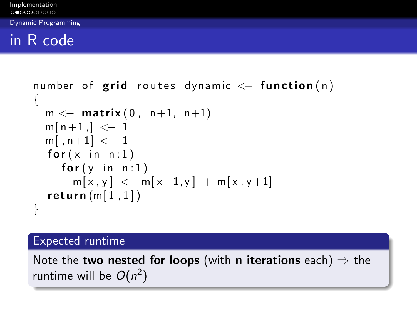Dynamic Programming

## in R code

```
number\_of\_grid\_routers\_dynamic \leq -function(n){
m \leftarrow matrix (0, n+1, n+1)
m[n+1] < -1m[, n+1] \leq -1for (x \in n : 1)for(y \in n : 1)m[x, y] \leq m[x+1, y] + m[x, y+1]return (m[1,1])}
```
#### Expected runtime

Note the **two nested for loops** (with **n** iterations each)  $\Rightarrow$  the runtime will be  $O(n^2)$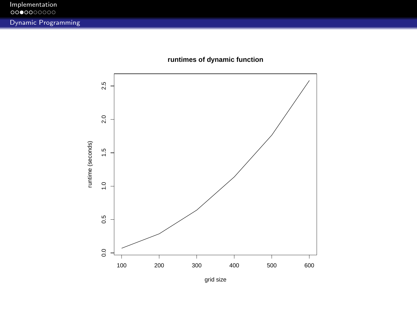

**runtimes of dynamic function**

grid size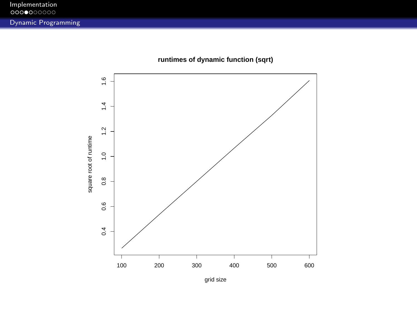

**runtimes of dynamic function (sqrt)**

grid size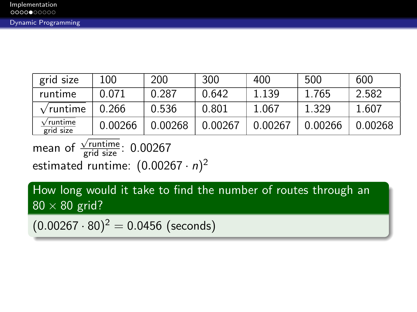| grid size                            | 100     | 200     | 300     | 400     | 500     | 600     |
|--------------------------------------|---------|---------|---------|---------|---------|---------|
| runtime                              | 0.071   | 0.287   | 0.642   | 1.139   | 1.765   | 2.582   |
| $\sqrt{\text{runtime}}$              | 0.266   | 0.536   | 0.801   | 1.067   | 1.329   | 1.607   |
| $\sqrt{\text{runtime}}$<br>grid size | 0.00266 | 0.00268 | 0.00267 | 0.00267 | 0.00266 | 0.00268 |

mean of  $\frac{1}{\sqrt{\text{runtime}}}}$ : 0.00267 estimated runtime:  $(0.00267 \cdot n)^2$ 

How long would it take to find the number of routes through an  $80 \times 80$  grid?

 $(0.00267 \cdot 80)^2 = 0.0456$  (seconds)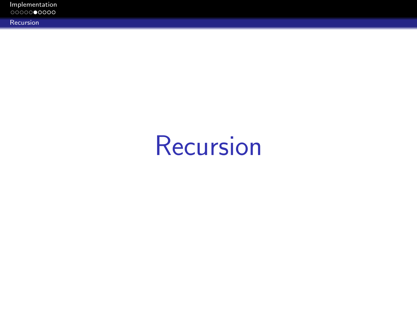| Implementation<br>0000000000 |  |  |  |
|------------------------------|--|--|--|
| Recursion                    |  |  |  |

## <span id="page-6-0"></span>[Recursion](#page-6-0)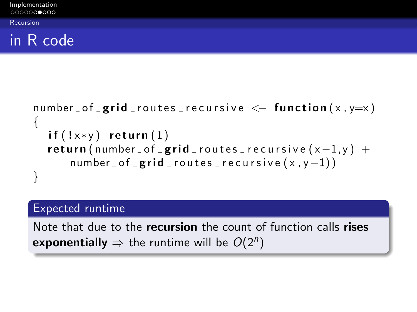Recursion

### in R code

```
number of _g rid routes recursive \leq function (x, y=x){
 if (!x*y) return (1)return (number of grid routes recursive (x-1, y) +
    number_of_grid_routes_recursive(x,y-1))}
```
### Expected runtime

Note that due to the **recursion** the count of function calls rises exponentially  $\Rightarrow$  the runtime will be  $O(2^n)$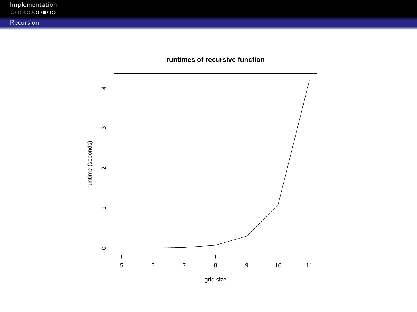| Implementation<br>0000000000 |  |  |
|------------------------------|--|--|
| Recursion                    |  |  |





grid size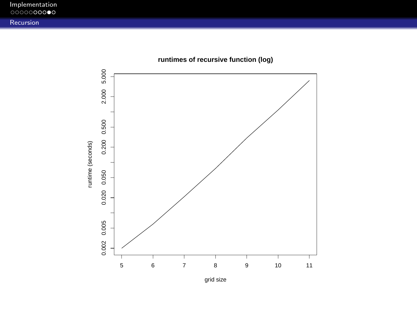| Implementation<br>0000000000 |  |  |  |
|------------------------------|--|--|--|
| <b>Recursion</b>             |  |  |  |



**runtimes of recursive function (log)**

grid size